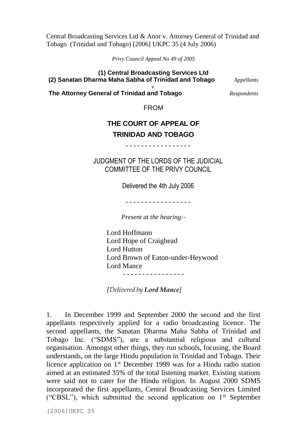Central Broadcasting Services Ltd & Anor v. Attorney General of Trinidad and Tobago (Trinidad and Tobago) [2006] UKPC 35 (4 July 2006)

*Privy Council Appeal No 49 of 2005*

**(1) Central Broadcasting Services Ltd (2) Sanatan Dharma Maha Sabha of Trinidad and Tobago** *Appellants v.*

**The Attorney General of Trinidad and Tobago** *Respondents*

FROM

## **THE COURT OF APPEAL OF TRINIDAD AND TOBAGO**

**- - - - - - - - - - - - - - - - -**

JUDGMENT OF THE LORDS OF THE JUDICIAL COMMITTEE OF THE PRIVY COUNCIL

Delivered the 4th July 2006

**- - - - - - - - - - - - - - - - -**

*Present at the hearing:-*

Lord Hoffmann Lord Hope of Craighead Lord Hutton Lord Brown of Eaton-under-Heywood Lord Mance **- - - - - - - - - - - - - - - -**

*[Delivered by Lord Mance]*

1. In December 1999 and September 2000 the second and the first appellants respectively applied for a radio broadcasting licence. The second appellants, the Sanatan Dharma Maha Sabha of Trinidad and Tobago Inc. ("SDMS"), are a substantial religious and cultural organisation. Amongst other things, they run schools, focusing, the Board understands, on the large Hindu population in Trinidad and Tobago. Their licence application on 1st December 1999 was for a Hindu radio station aimed at an estimated 35% of the total listening market. Existing stations were said not to cater for the Hindu religion. In August 2000 SDMS incorporated the first appellants, Central Broadcasting Services Limited ("CBSL"), which submitted the second application on  $1<sup>st</sup>$  September

[2006]UKPC 35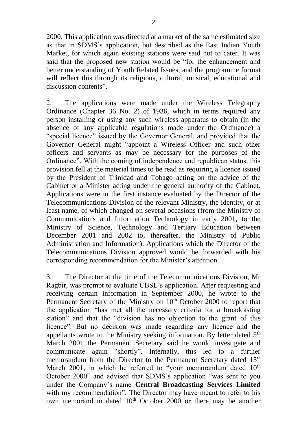2000. This application was directed at a market of the same estimated size as that in SDMS's application, but described as the East Indian Youth Market, for which again existing stations were said not to cater. It was said that the proposed new station would be "for the enhancement and better understanding of Youth Related Issues, and the programme format will reflect this through its religious, cultural, musical, educational and discussion contents".

2. The applications were made under the Wireless Telegraphy Ordinance (Chapter 36 No. 2) of 1936, which in terms required any person installing or using any such wireless apparatus to obtain (in the absence of any applicable regulations made under the Ordinance) a "special licence" issued by the Governor General, and provided that the Governor General might "appoint a Wireless Officer and such other officers and servants as may be necessary for the purposes of the Ordinance". With the coming of independence and republican status, this provision fell at the material times to be read as requiring a licence issued by the President of Trinidad and Tobago acting on the advice of the Cabinet or a Minister acting under the general authority of the Cabinet. Applications were in the first instance evaluated by the Director of the Telecommunications Division of the relevant Ministry, the identity, or at least name, of which changed on several occasions (from the Ministry of Communications and Information Technology in early 2001, to the Ministry of Science, Technology and Tertiary Education between December 2001 and 2002 to, thereafter, the Ministry of Public Administration and Information). Applications which the Director of the Telecommunications Division approved would be forwarded with his corresponding recommendation for the Minister's attention.

3. The Director at the time of the Telecommunications Division, Mr Ragbir, was prompt to evaluate CBSL's application. After requesting and receiving certain information in September 2000, he wrote to the Permanent Secretary of the Ministry on 10<sup>th</sup> October 2000 to report that the application "has met all the necessary criteria for a broadcasting station" and that the "division has no objection to the grant of this licence". But no decision was made regarding any licence and the appellants wrote to the Ministry seeking information. By letter dated 5<sup>th</sup> March 2001 the Permanent Secretary said he would investigate and communicate again "shortly". Internally, this led to a further memorandum from the Director to the Permanent Secretary dated 15<sup>th</sup> March 2001, in which he referred to "your memorandum dated  $10<sup>th</sup>$ October 2000" and advised that SDMS's application "was sent to you under the Company's name **Central Broadcasting Services Limited**  with my recommendation". The Director may have meant to refer to his own memorandum dated 10<sup>th</sup> October 2000 or there may be another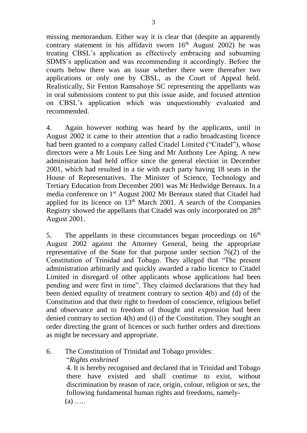missing memorandum. Either way it is clear that (despite an apparently contrary statement in his affidavit sworn  $16<sup>th</sup>$  August 2002) he was treating CBSL's application as effectively embracing and subsuming SDMS's application and was recommending it accordingly. Before the courts below there was an issue whether there were thereafter two applications or only one by CBSL, as the Court of Appeal held. Realistically, Sir Fenton Ramsahoye SC representing the appellants was in oral submissions content to put this issue aside, and focused attention on CBSL's application which was unquestionably evaluated and recommended.

4. Again however nothing was heard by the applicants, until in August 2002 it came to their attention that a radio broadcasting licence had been granted to a company called Citadel Limited ("Citadel"), whose directors were a Mr Louis Lee Sing and Mr Anthony Lee Aping. A new administration had held office since the general election in December 2001, which had resulted in a tie with each party having 18 seats in the House of Representatives. The Minister of Science, Technology and Tertiary Education from December 2001 was Mr Hedwidge Bereaux. In a media conference on 1st August 2002 Mr Bereaux stated that Citadel had applied for its licence on  $13<sup>th</sup>$  March 2001. A search of the Companies Registry showed the appellants that Citadel was only incorporated on 28<sup>th</sup> August 2001.

5. The appellants in these circumstances began proceedings on  $16<sup>th</sup>$ August 2002 against the Attorney General, being the appropriate representative of the State for that purpose under section 76(2) of the Constitution of Trinidad and Tobago. They alleged that "The present administration arbitrarily and quickly awarded a radio licence to Citadel Limited in disregard of other applicants whose applications had been pending and were first in time". They claimed declarations that they had been denied equality of treatment contrary to section 4(b) and (d) of the Constitution and that their right to freedom of conscience, religious belief and observance and to freedom of thought and expression had been denied contrary to section 4(h) and (i) of the Constitution. They sought an order directing the grant of licences or such further orders and directions as might be necessary and appropriate.

6. The Constitution of Trinidad and Tobago provides:

"*Rights enshrined* 

4. It is hereby recognised and declared that in Trinidad and Tobago there have existed and shall continue to exist, without discrimination by reason of race, origin, colour, religion or sex, the following fundamental human rights and freedoms, namely-  $(a)$  .....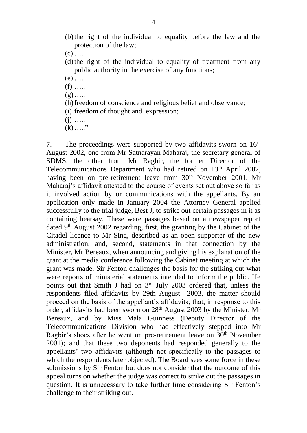(b)the right of the individual to equality before the law and the protection of the law;

 $(c)$  .....

(d)the right of the individual to equality of treatment from any public authority in the exercise of any functions;

 $(e)$  …

 $(f)$  …

 $(g)$ …..

- (h)freedom of conscience and religious belief and observance;
- (i) freedom of thought and expression;

 $(i)$  …

 $(k)$ ….."

7. The proceedings were supported by two affidavits sworn on  $16<sup>th</sup>$ August 2002, one from Mr Satnarayan Maharaj, the secretary general of SDMS, the other from Mr Ragbir, the former Director of the Telecommunications Department who had retired on 13<sup>th</sup> April 2002, having been on pre-retirement leave from 30<sup>th</sup> November 2001. Mr Maharaj's affidavit attested to the course of events set out above so far as it involved action by or communications with the appellants. By an application only made in January 2004 the Attorney General applied successfully to the trial judge, Best J, to strike out certain passages in it as containing hearsay. These were passages based on a newspaper report dated  $9<sup>th</sup>$  August 2002 regarding, first, the granting by the Cabinet of the Citadel licence to Mr Sing, described as an open supporter of the new administration, and, second, statements in that connection by the Minister, Mr Bereaux, when announcing and giving his explanation of the grant at the media conference following the Cabinet meeting at which the grant was made. Sir Fenton challenges the basis for the striking out what were reports of ministerial statements intended to inform the public. He points out that Smith J had on 3rd July 2003 ordered that, unless the respondents filed affidavits by 29th August 2003, the matter should proceed on the basis of the appellant's affidavits; that, in response to this order, affidavits had been sworn on  $28<sup>th</sup>$  August 2003 by the Minister, Mr Bereaux, and by Miss Mala Guinness (Deputy Director of the Telecommunications Division who had effectively stepped into Mr Ragbir's shoes after he went on pre-retirement leave on 30<sup>th</sup> November 2001); and that these two deponents had responded generally to the appellants' two affidavits (although not specifically to the passages to which the respondents later objected). The Board sees some force in these submissions by Sir Fenton but does not consider that the outcome of this appeal turns on whether the judge was correct to strike out the passages in question. It is unnecessary to take further time considering Sir Fenton's challenge to their striking out.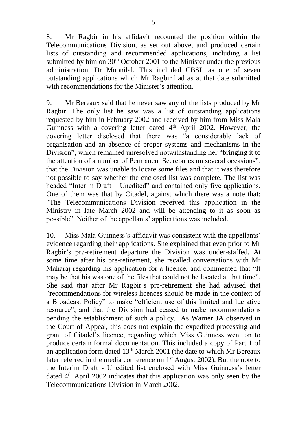8. Mr Ragbir in his affidavit recounted the position within the Telecommunications Division, as set out above, and produced certain lists of outstanding and recommended applications, including a list submitted by him on  $30<sup>th</sup>$  October 2001 to the Minister under the previous administration, Dr Moonilal. This included CBSL as one of seven outstanding applications which Mr Ragbir had as at that date submitted with recommendations for the Minister's attention.

9. Mr Bereaux said that he never saw any of the lists produced by Mr Ragbir. The only list he saw was a list of outstanding applications requested by him in February 2002 and received by him from Miss Mala Guinness with a covering letter dated 4<sup>th</sup> April 2002. However, the covering letter disclosed that there was "a considerable lack of organisation and an absence of proper systems and mechanisms in the Division", which remained unresolved notwithstanding her "bringing it to the attention of a number of Permanent Secretaries on several occasions", that the Division was unable to locate some files and that it was therefore not possible to say whether the enclosed list was complete. The list was headed "Interim Draft – Unedited" and contained only five applications. One of them was that by Citadel, against which there was a note that: "The Telecommunications Division received this application in the Ministry in late March 2002 and will be attending to it as soon as possible". Neither of the appellants' applications was included.

10. Miss Mala Guinness's affidavit was consistent with the appellants' evidence regarding their applications. She explained that even prior to Mr Ragbir's pre-retirement departure the Division was under-staffed. At some time after his pre-retirement, she recalled conversations with Mr Maharaj regarding his application for a licence, and commented that "It may be that his was one of the files that could not be located at that time". She said that after Mr Ragbir's pre-retirement she had advised that "recommendations for wireless licences should be made in the context of a Broadcast Policy" to make "efficient use of this limited and lucrative resource", and that the Division had ceased to make recommendations pending the establishment of such a policy. As Warner JA observed in the Court of Appeal, this does not explain the expedited processing and grant of Citadel's licence, regarding which Miss Guinness went on to produce certain formal documentation. This included a copy of Part 1 of an application form dated  $13<sup>th</sup>$  March 2001 (the date to which Mr Bereaux later referred in the media conference on  $1<sup>st</sup>$  August 2002). But the note to the Interim Draft - Unedited list enclosed with Miss Guinness's letter dated  $4<sup>th</sup>$  April 2002 indicates that this application was only seen by the Telecommunications Division in March 2002.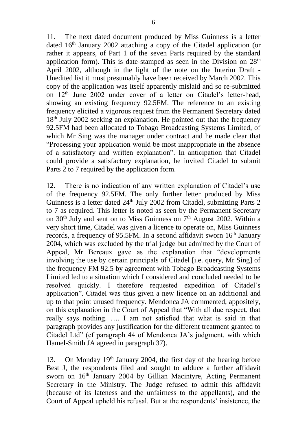11. The next dated document produced by Miss Guinness is a letter dated 16<sup>th</sup> January 2002 attaching a copy of the Citadel application (or rather it appears, of Part 1 of the seven Parts required by the standard application form). This is date-stamped as seen in the Division on  $28<sup>th</sup>$ April 2002, although in the light of the note on the Interim Draft - Unedited list it must presumably have been received by March 2002. This copy of the application was itself apparently mislaid and so re-submitted on 12<sup>th</sup> June 2002 under cover of a letter on Citadel's letter-head, showing an existing frequency 92.5FM. The reference to an existing frequency elicited a vigorous request from the Permanent Secretary dated 18th July 2002 seeking an explanation. He pointed out that the frequency 92.5FM had been allocated to Tobago Broadcasting Systems Limited, of which Mr Sing was the manager under contract and he made clear that "Processing your application would be most inappropriate in the absence of a satisfactory and written explanation". In anticipation that Citadel could provide a satisfactory explanation, he invited Citadel to submit Parts 2 to 7 required by the application form.

12. There is no indication of any written explanation of Citadel's use of the frequency 92.5FM. The only further letter produced by Miss Guinness is a letter dated 24<sup>th</sup> July 2002 from Citadel, submitting Parts 2 to 7 as required. This letter is noted as seen by the Permanent Secretary on  $30<sup>th</sup>$  July and sent on to Miss Guinness on  $7<sup>th</sup>$  August 2002. Within a very short time, Citadel was given a licence to operate on, Miss Guinness records, a frequency of 95.5FM. In a second affidavit sworn 16<sup>th</sup> January 2004, which was excluded by the trial judge but admitted by the Court of Appeal, Mr Bereaux gave as the explanation that "developments involving the use by certain principals of Citadel [i.e. query, Mr Sing] of the frequency FM 92.5 by agreement with Tobago Broadcasting Systems Limited led to a situation which I considered and concluded needed to be resolved quickly. I therefore requested expedition of Citadel's application". Citadel was thus given a new licence on an additional and up to that point unused frequency. Mendonca JA commented, appositely, on this explanation in the Court of Appeal that "With all due respect, that really says nothing. …. I am not satisfied that what is said in that paragraph provides any justification for the different treatment granted to Citadel Ltd" (cf paragraph 44 of Mendonca JA's judgment, with which Hamel-Smith JA agreed in paragraph 37).

13. On Monday 19<sup>th</sup> January 2004, the first day of the hearing before Best J, the respondents filed and sought to adduce a further affidavit sworn on 16<sup>th</sup> January 2004 by Gillian Macintyre, Acting Permanent Secretary in the Ministry. The Judge refused to admit this affidavit (because of its lateness and the unfairness to the appellants), and the Court of Appeal upheld his refusal. But at the respondents' insistence, the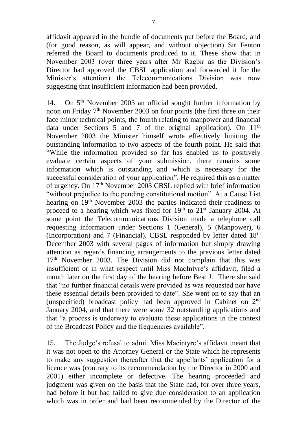affidavit appeared in the bundle of documents put before the Board, and (for good reason, as will appear, and without objection) Sir Fenton referred the Board to documents produced to it. These show that in November 2003 (over three years after Mr Ragbir as the Division's Director had approved the CBSL application and forwarded it for the Minister's attention) the Telecommunications Division was now suggesting that insufficient information had been provided.

14. On 5<sup>th</sup> November 2003 an official sought further information by noon on Friday  $7<sup>th</sup>$  November 2003 on four points (the first three on their face minor technical points, the fourth relating to manpower and financial data under Sections 5 and 7 of the original application). On  $11<sup>th</sup>$ November 2003 the Minister himself wrote effectively limiting the outstanding information to two aspects of the fourth point. He said that "While the information provided so far has enabled us to positively evaluate certain aspects of your submission, there remains some information which is outstanding and which is necessary for the successful consideration of your application". He required this as a matter of urgency. On 17th November 2003 CBSL replied with brief information "without prejudice to the pending constitutional motion". At a Cause List hearing on 19<sup>th</sup> November 2003 the parties indicated their readiness to proceed to a hearing which was fixed for  $19<sup>th</sup>$  to  $21<sup>st</sup>$  January 2004. At some point the Telecommunications Division made a telephone call requesting information under Sections 1 (General), 5 (Manpower), 6 (Incorporation) and 7 (Financial). CBSL responded by letter dated  $18<sup>th</sup>$ December 2003 with several pages of information but simply drawing attention as regards financing arrangements to the previous letter dated 17<sup>th</sup> November 2003. The Division did not complain that this was insufficient or in what respect until Miss MacIntyre's affidavit, filed a month later on the first day of the hearing before Best J. There she said that "no further financial details were provided as was requested nor have these essential details been provided to date". She went on to say that an (unspecified) broadcast policy had been approved in Cabinet on 2nd January 2004, and that there were some 32 outstanding applications and that "a process is underway to evaluate these applications in the context of the Broadcast Policy and the frequencies available".

15. The Judge's refusal to admit Miss Macintyre's affidavit meant that it was not open to the Attorney General or the State which he represents to make any suggestion thereafter that the appellants' application for a licence was (contrary to its recommendation by the Director in 2000 and 2001) either incomplete or defective. The hearing proceeded and judgment was given on the basis that the State had, for over three years, had before it but had failed to give due consideration to an application which was in order and had been recommended by the Director of the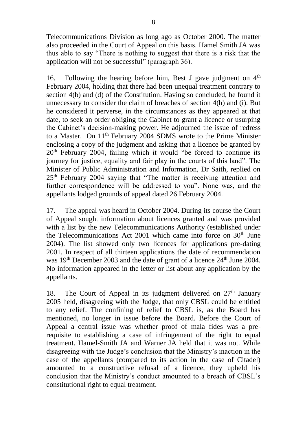Telecommunications Division as long ago as October 2000. The matter also proceeded in the Court of Appeal on this basis. Hamel Smith JA was thus able to say "There is nothing to suggest that there is a risk that the application will not be successful" (paragraph 36).

16. Following the hearing before him, Best J gave judgment on  $4<sup>th</sup>$ February 2004, holding that there had been unequal treatment contrary to section 4(b) and (d) of the Constitution. Having so concluded, he found it unnecessary to consider the claim of breaches of section 4(h) and (i). But he considered it perverse, in the circumstances as they appeared at that date, to seek an order obliging the Cabinet to grant a licence or usurping the Cabinet's decision-making power. He adjourned the issue of redress to a Master. On 11<sup>th</sup> February 2004 SDMS wrote to the Prime Minister enclosing a copy of the judgment and asking that a licence be granted by 20th February 2004, failing which it would "be forced to continue its journey for justice, equality and fair play in the courts of this land". The Minister of Public Administration and Information, Dr Saith, replied on 25th February 2004 saying that "The matter is receiving attention and further correspondence will be addressed to you". None was, and the appellants lodged grounds of appeal dated 26 February 2004.

17. The appeal was heard in October 2004. During its course the Court of Appeal sought information about licences granted and was provided with a list by the new Telecommunications Authority (established under the Telecommunications Act 2001 which came into force on  $30<sup>th</sup>$  June 2004). The list showed only two licences for applications pre-dating 2001. In respect of all thirteen applications the date of recommendation was 19<sup>th</sup> December 2003 and the date of grant of a licence 24<sup>th</sup> June 2004. No information appeared in the letter or list about any application by the appellants.

18. The Court of Appeal in its judgment delivered on  $27<sup>th</sup>$  January 2005 held, disagreeing with the Judge, that only CBSL could be entitled to any relief. The confining of relief to CBSL is, as the Board has mentioned, no longer in issue before the Board. Before the Court of Appeal a central issue was whether proof of mala fides was a prerequisite to establishing a case of infringement of the right to equal treatment. Hamel-Smith JA and Warner JA held that it was not. While disagreeing with the Judge's conclusion that the Ministry's inaction in the case of the appellants (compared to its action in the case of Citadel) amounted to a constructive refusal of a licence, they upheld his conclusion that the Ministry's conduct amounted to a breach of CBSL's constitutional right to equal treatment.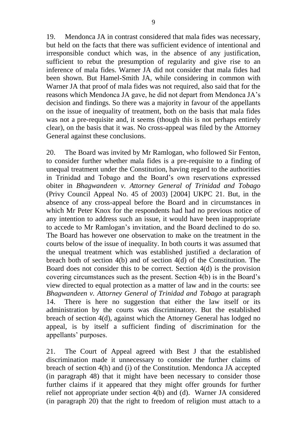19. Mendonca JA in contrast considered that mala fides was necessary, but held on the facts that there was sufficient evidence of intentional and irresponsible conduct which was, in the absence of any justification, sufficient to rebut the presumption of regularity and give rise to an inference of mala fides. Warner JA did not consider that mala fides had been shown. But Hamel-Smith JA, while considering in common with Warner JA that proof of mala fides was not required, also said that for the reasons which Mendonca JA gave, he did not depart from Mendonca JA's decision and findings. So there was a majority in favour of the appellants on the issue of inequality of treatment, both on the basis that mala fides was not a pre-requisite and, it seems (though this is not perhaps entirely clear), on the basis that it was. No cross-appeal was filed by the Attorney General against these conclusions.

20. The Board was invited by Mr Ramlogan, who followed Sir Fenton, to consider further whether mala fides is a pre-requisite to a finding of unequal treatment under the Constitution, having regard to the authorities in Trinidad and Tobago and the Board's own reservations expressed obiter in *Bhagwandeen v. Attorney General of Trinidad and Tobago*  (Privy Council Appeal No. 45 of 2003) [2004] UKPC 21. But, in the absence of any cross-appeal before the Board and in circumstances in which Mr Peter Knox for the respondents had had no previous notice of any intention to address such an issue, it would have been inappropriate to accede to Mr Ramlogan's invitation, and the Board declined to do so. The Board has however one observation to make on the treatment in the courts below of the issue of inequality. In both courts it was assumed that the unequal treatment which was established justified a declaration of breach both of section 4(b) and of section 4(d) of the Constitution. The Board does not consider this to be correct. Section 4(d) is the provision covering circumstances such as the present. Section 4(b) is in the Board's view directed to equal protection as a matter of law and in the courts: see *Bhagwandeen v. Attorney General of Trinidad and Tobago* at paragraph 14. There is here no suggestion that either the law itself or its administration by the courts was discriminatory. But the established breach of section 4(d), against which the Attorney General has lodged no appeal, is by itself a sufficient finding of discrimination for the appellants' purposes.

21. The Court of Appeal agreed with Best J that the established discrimination made it unnecessary to consider the further claims of breach of section 4(h) and (i) of the Constitution. Mendonca JA accepted (in paragraph 48) that it might have been necessary to consider those further claims if it appeared that they might offer grounds for further relief not appropriate under section 4(b) and (d). Warner JA considered (in paragraph 20) that the right to freedom of religion must attach to a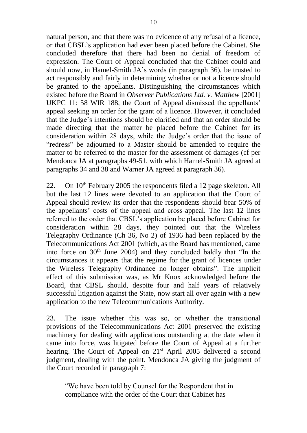natural person, and that there was no evidence of any refusal of a licence, or that CBSL's application had ever been placed before the Cabinet. She concluded therefore that there had been no denial of freedom of expression. The Court of Appeal concluded that the Cabinet could and should now, in Hamel-Smith JA's words (in paragraph 36), be trusted to act responsibly and fairly in determining whether or not a licence should be granted to the appellants. Distinguishing the circumstances which existed before the Board in *Observer Publications Ltd. v. Matthew* [2001] UKPC 11: 58 WIR 188, the Court of Appeal dismissed the appellants' appeal seeking an order for the grant of a licence. However, it concluded that the Judge's intentions should be clarified and that an order should be made directing that the matter be placed before the Cabinet for its consideration within 28 days, while the Judge's order that the issue of "redress" be adjourned to a Master should be amended to require the matter to be referred to the master for the assessment of damages (cf per Mendonca JA at paragraphs 49-51, with which Hamel-Smith JA agreed at paragraphs 34 and 38 and Warner JA agreed at paragraph 36).

22. On 10<sup>th</sup> February 2005 the respondents filed a 12 page skeleton. All but the last 12 lines were devoted to an application that the Court of Appeal should review its order that the respondents should bear 50% of the appellants' costs of the appeal and cross-appeal. The last 12 lines referred to the order that CBSL's application be placed before Cabinet for consideration within 28 days, they pointed out that the Wireless Telegraphy Ordinance (Ch 36, No 2) of 1936 had been replaced by the Telecommunications Act 2001 (which, as the Board has mentioned, came into force on  $30<sup>th</sup>$  June 2004) and they concluded baldly that "In the circumstances it appears that the regime for the grant of licences under the Wireless Telegraphy Ordinance no longer obtains". The implicit effect of this submission was, as Mr Knox acknowledged before the Board, that CBSL should, despite four and half years of relatively successful litigation against the State, now start all over again with a new application to the new Telecommunications Authority.

23. The issue whether this was so, or whether the transitional provisions of the Telecommunications Act 2001 preserved the existing machinery for dealing with applications outstanding at the date when it came into force, was litigated before the Court of Appeal at a further hearing. The Court of Appeal on 21<sup>st</sup> April 2005 delivered a second judgment, dealing with the point. Mendonca JA giving the judgment of the Court recorded in paragraph 7:

"We have been told by Counsel for the Respondent that in compliance with the order of the Court that Cabinet has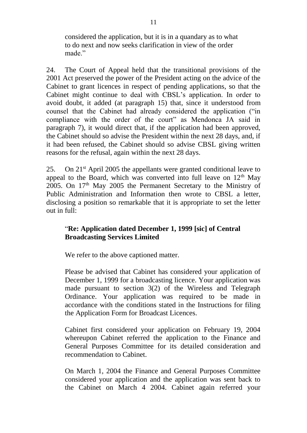considered the application, but it is in a quandary as to what to do next and now seeks clarification in view of the order made."

24. The Court of Appeal held that the transitional provisions of the 2001 Act preserved the power of the President acting on the advice of the Cabinet to grant licences in respect of pending applications, so that the Cabinet might continue to deal with CBSL's application. In order to avoid doubt, it added (at paragraph 15) that, since it understood from counsel that the Cabinet had already considered the application ("in compliance with the order of the court" as Mendonca JA said in paragraph 7), it would direct that, if the application had been approved, the Cabinet should so advise the President within the next 28 days, and, if it had been refused, the Cabinet should so advise CBSL giving written reasons for the refusal, again within the next 28 days.

25. On 21st April 2005 the appellants were granted conditional leave to appeal to the Board, which was converted into full leave on  $12<sup>th</sup>$  May  $2005$ . On  $17<sup>th</sup>$  May 2005 the Permanent Secretary to the Ministry of Public Administration and Information then wrote to CBSL a letter, disclosing a position so remarkable that it is appropriate to set the letter out in full:

## "**Re: Application dated December 1, 1999 [sic] of Central Broadcasting Services Limited**

We refer to the above captioned matter.

Please be advised that Cabinet has considered your application of December 1, 1999 for a broadcasting licence. Your application was made pursuant to section 3(2) of the Wireless and Telegraph Ordinance. Your application was required to be made in accordance with the conditions stated in the Instructions for filing the Application Form for Broadcast Licences.

Cabinet first considered your application on February 19, 2004 whereupon Cabinet referred the application to the Finance and General Purposes Committee for its detailed consideration and recommendation to Cabinet.

On March 1, 2004 the Finance and General Purposes Committee considered your application and the application was sent back to the Cabinet on March 4 2004. Cabinet again referred your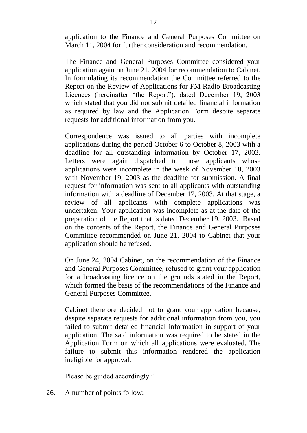application to the Finance and General Purposes Committee on March 11, 2004 for further consideration and recommendation.

The Finance and General Purposes Committee considered your application again on June 21, 2004 for recommendation to Cabinet. In formulating its recommendation the Committee referred to the Report on the Review of Applications for FM Radio Broadcasting Licences (hereinafter "the Report"), dated December 19, 2003 which stated that you did not submit detailed financial information as required by law and the Application Form despite separate requests for additional information from you.

Correspondence was issued to all parties with incomplete applications during the period October 6 to October 8, 2003 with a deadline for all outstanding information by October 17, 2003. Letters were again dispatched to those applicants whose applications were incomplete in the week of November 10, 2003 with November 19, 2003 as the deadline for submission. A final request for information was sent to all applicants with outstanding information with a deadline of December 17, 2003. At that stage, a review of all applicants with complete applications was undertaken. Your application was incomplete as at the date of the preparation of the Report that is dated December 19, 2003. Based on the contents of the Report, the Finance and General Purposes Committee recommended on June 21, 2004 to Cabinet that your application should be refused.

On June 24, 2004 Cabinet, on the recommendation of the Finance and General Purposes Committee, refused to grant your application for a broadcasting licence on the grounds stated in the Report, which formed the basis of the recommendations of the Finance and General Purposes Committee.

Cabinet therefore decided not to grant your application because, despite separate requests for additional information from you, you failed to submit detailed financial information in support of your application. The said information was required to be stated in the Application Form on which all applications were evaluated. The failure to submit this information rendered the application ineligible for approval.

Please be guided accordingly."

26. A number of points follow: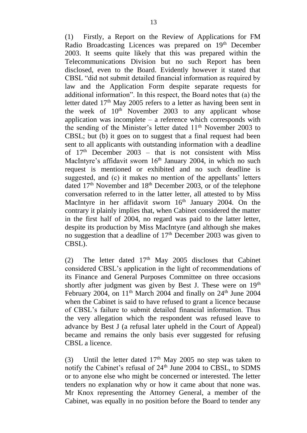(1) Firstly, a Report on the Review of Applications for FM Radio Broadcasting Licences was prepared on 19<sup>th</sup> December 2003. It seems quite likely that this was prepared within the Telecommunications Division but no such Report has been disclosed, even to the Board. Evidently however it stated that CBSL "did not submit detailed financial information as required by law and the Application Form despite separate requests for additional information". In this respect, the Board notes that (a) the letter dated 17<sup>th</sup> May 2005 refers to a letter as having been sent in the week of  $10<sup>th</sup>$  November 2003 to any applicant whose application was incomplete  $-$  a reference which corresponds with the sending of the Minister's letter dated 11<sup>th</sup> November 2003 to CBSL; but (b) it goes on to suggest that a final request had been sent to all applicants with outstanding information with a deadline of  $17<sup>th</sup>$  December 2003 – that is not consistent with Miss MacIntyre's affidavit sworn  $16<sup>th</sup>$  January 2004, in which no such request is mentioned or exhibited and no such deadline is suggested, and (c) it makes no mention of the appellants' letters dated  $17<sup>th</sup>$  November and  $18<sup>th</sup>$  December 2003, or of the telephone conversation referred to in the latter letter, all attested to by Miss MacIntyre in her affidavit sworn 16<sup>th</sup> January 2004. On the contrary it plainly implies that, when Cabinet considered the matter in the first half of 2004, no regard was paid to the latter letter, despite its production by Miss MacIntyre (and although she makes no suggestion that a deadline of  $17<sup>th</sup>$  December 2003 was given to CBSL).

(2) The letter dated  $17<sup>th</sup>$  May 2005 discloses that Cabinet considered CBSL's application in the light of recommendations of its Finance and General Purposes Committee on three occasions shortly after judgment was given by Best J. These were on  $19<sup>th</sup>$ February 2004, on  $11<sup>th</sup>$  March 2004 and finally on  $24<sup>th</sup>$  June 2004 when the Cabinet is said to have refused to grant a licence because of CBSL's failure to submit detailed financial information. Thus the very allegation which the respondent was refused leave to advance by Best J (a refusal later upheld in the Court of Appeal) became and remains the only basis ever suggested for refusing CBSL a licence.

(3) Until the letter dated  $17<sup>th</sup>$  May 2005 no step was taken to notify the Cabinet's refusal of 24<sup>th</sup> June 2004 to CBSL, to SDMS or to anyone else who might be concerned or interested. The letter tenders no explanation why or how it came about that none was. Mr Knox representing the Attorney General, a member of the Cabinet, was equally in no position before the Board to tender any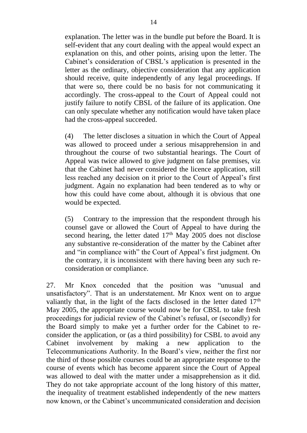explanation. The letter was in the bundle put before the Board. It is self-evident that any court dealing with the appeal would expect an explanation on this, and other points, arising upon the letter. The Cabinet's consideration of CBSL's application is presented in the letter as the ordinary, objective consideration that any application should receive, quite independently of any legal proceedings. If that were so, there could be no basis for not communicating it accordingly. The cross-appeal to the Court of Appeal could not justify failure to notify CBSL of the failure of its application. One can only speculate whether any notification would have taken place had the cross-appeal succeeded.

(4) The letter discloses a situation in which the Court of Appeal was allowed to proceed under a serious misapprehension in and throughout the course of two substantial hearings. The Court of Appeal was twice allowed to give judgment on false premises, viz that the Cabinet had never considered the licence application, still less reached any decision on it prior to the Court of Appeal's first judgment. Again no explanation had been tendered as to why or how this could have come about, although it is obvious that one would be expected.

(5) Contrary to the impression that the respondent through his counsel gave or allowed the Court of Appeal to have during the second hearing, the letter dated  $17<sup>th</sup>$  May 2005 does not disclose any substantive re-consideration of the matter by the Cabinet after and "in compliance with" the Court of Appeal's first judgment. On the contrary, it is inconsistent with there having been any such reconsideration or compliance.

27. Mr Knox conceded that the position was "unusual and unsatisfactory". That is an understatement. Mr Knox went on to argue valiantly that, in the light of the facts disclosed in the letter dated  $17<sup>th</sup>$ May 2005, the appropriate course would now be for CBSL to take fresh proceedings for judicial review of the Cabinet's refusal, or (secondly) for the Board simply to make yet a further order for the Cabinet to reconsider the application, or (as a third possibility) for CSBL to avoid any Cabinet involvement by making a new application to the Telecommunications Authority. In the Board's view, neither the first nor the third of those possible courses could be an appropriate response to the course of events which has become apparent since the Court of Appeal was allowed to deal with the matter under a misapprehension as it did. They do not take appropriate account of the long history of this matter, the inequality of treatment established independently of the new matters now known, or the Cabinet's uncommunicated consideration and decision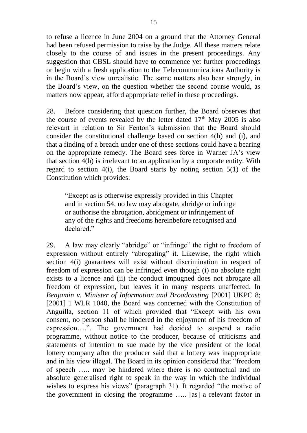to refuse a licence in June 2004 on a ground that the Attorney General had been refused permission to raise by the Judge. All these matters relate closely to the course of and issues in the present proceedings. Any suggestion that CBSL should have to commence yet further proceedings or begin with a fresh application to the Telecommunications Authority is in the Board's view unrealistic. The same matters also bear strongly, in the Board's view, on the question whether the second course would, as matters now appear, afford appropriate relief in these proceedings.

28. Before considering that question further, the Board observes that the course of events revealed by the letter dated  $17<sup>th</sup>$  May 2005 is also relevant in relation to Sir Fenton's submission that the Board should consider the constitutional challenge based on section 4(h) and (i), and that a finding of a breach under one of these sections could have a bearing on the appropriate remedy. The Board sees force in Warner JA's view that section 4(h) is irrelevant to an application by a corporate entity. With regard to section 4(i), the Board starts by noting section 5(1) of the Constitution which provides:

"Except as is otherwise expressly provided in this Chapter and in section 54, no law may abrogate, abridge or infringe or authorise the abrogation, abridgment or infringement of any of the rights and freedoms hereinbefore recognised and declared."

29. A law may clearly "abridge" or "infringe" the right to freedom of expression without entirely "abrogating" it. Likewise, the right which section 4(i) guarantees will exist without discrimination in respect of freedom of expression can be infringed even though (i) no absolute right exists to a licence and (ii) the conduct impugned does not abrogate all freedom of expression, but leaves it in many respects unaffected. In *Benjamin v. Minister of Information and Broadcasting* [2001] UKPC 8; [2001] 1 WLR 1040, the Board was concerned with the Constitution of Anguilla, section 11 of which provided that "Except with his own consent, no person shall be hindered in the enjoyment of his freedom of expression….". The government had decided to suspend a radio programme, without notice to the producer, because of criticisms and statements of intention to sue made by the vice president of the local lottery company after the producer said that a lottery was inappropriate and in his view illegal. The Board in its opinion considered that "freedom of speech ….. may be hindered where there is no contractual and no absolute generalised right to speak in the way in which the individual wishes to express his views" (paragraph 31). It regarded "the motive of the government in closing the programme ….. [as] a relevant factor in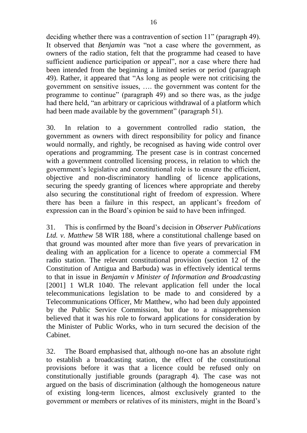deciding whether there was a contravention of section 11" (paragraph 49). It observed that *Benjamin* was "not a case where the government, as owners of the radio station, felt that the programme had ceased to have sufficient audience participation or appeal", nor a case where there had been intended from the beginning a limited series or period (paragraph 49). Rather, it appeared that "As long as people were not criticising the government on sensitive issues, …. the government was content for the programme to continue" (paragraph 49) and so there was, as the judge had there held, "an arbitrary or capricious withdrawal of a platform which had been made available by the government" (paragraph 51).

30. In relation to a government controlled radio station, the government as owners with direct responsibility for policy and finance would normally, and rightly, be recognised as having wide control over operations and programming. The present case is in contrast concerned with a government controlled licensing process, in relation to which the government's legislative and constitutional role is to ensure the efficient, objective and non-discriminatory handling of licence applications, securing the speedy granting of licences where appropriate and thereby also securing the constitutional right of freedom of expression. Where there has been a failure in this respect, an applicant's freedom of expression can in the Board's opinion be said to have been infringed.

31. This is confirmed by the Board's decision in *Observer Publications Ltd. v. Matthew* 58 WIR 188, where a constitutional challenge based on that ground was mounted after more than five years of prevarication in dealing with an application for a licence to operate a commercial FM radio station. The relevant constitutional provision (section 12 of the Constitution of Antigua and Barbuda) was in effectively identical terms to that in issue in *Benjamin v Minister of Information and Broadcasting*  [2001] 1 WLR 1040. The relevant application fell under the local telecommunications legislation to be made to and considered by a Telecommunications Officer, Mr Matthew, who had been duly appointed by the Public Service Commission, but due to a misapprehension believed that it was his role to forward applications for consideration by the Minister of Public Works, who in turn secured the decision of the Cabinet.

32. The Board emphasised that, although no-one has an absolute right to establish a broadcasting station, the effect of the constitutional provisions before it was that a licence could be refused only on constitutionally justifiable grounds (paragraph 4). The case was not argued on the basis of discrimination (although the homogeneous nature of existing long-term licences, almost exclusively granted to the government or members or relatives of its ministers, might in the Board's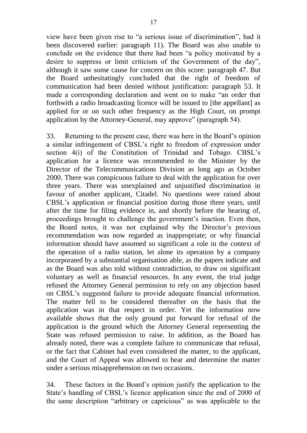view have been given rise to "a serious issue of discrimination", had it been discovered earlier: paragraph 11). The Board was also unable to conclude on the evidence that there had been "a policy motivated by a desire to suppress or limit criticism of the Government of the day", although it saw some cause for concern on this score: paragraph 47. But the Board unhesitatingly concluded that the right of freedom of communication had been denied without justification: paragraph 53. It made a corresponding declaration and went on to make "an order that forthwith a radio broadcasting licence will be issued to [the appellant] as applied for or on such other frequency as the High Court, on prompt application by the Attorney-General, may approve" (paragraph 54).

33. Returning to the present case, there was here in the Board's opinion a similar infringement of CBSL's right to freedom of expression under section 4(i) of the Constitution of Trinidad and Tobago. CBSL's application for a licence was recommended to the Minister by the Director of the Telecommunications Division as long ago as October 2000. There was conspicuous failure to deal with the application for over three years. There was unexplained and unjustified discrimination in favour of another applicant, Citadel. No questions were raised about CBSL's application or financial position during those three years, until after the time for filing evidence in, and shortly before the hearing of, proceedings brought to challenge the government's inaction. Even then, the Board notes, it was not explained why the Director's previous recommendation was now regarded as inappropriate; or why financial information should have assumed so significant a role in the context of the operation of a radio station, let alone its operation by a company incorporated by a substantial organisation able, as the papers indicate and as the Board was also told without contradiction, to draw on significant voluntary as well as financial resources. In any event, the trial judge refused the Attorney General permission to rely on any objection based on CBSL's suggested failure to provide adequate financial information. The matter fell to be considered thereafter on the basis that the application was in that respect in order. Yet the information now available shows that the only ground put forward for refusal of the application is the ground which the Attorney General representing the State was refused permission to raise. In addition, as the Board has already noted, there was a complete failure to communicate that refusal, or the fact that Cabinet had even considered the matter, to the applicant, and the Court of Appeal was allowed to hear and determine the matter under a serious misapprehension on two occasions.

34. These factors in the Board's opinion justify the application to the State's handling of CBSL's licence application since the end of 2000 of the same description "arbitrary or capricious" as was applicable to the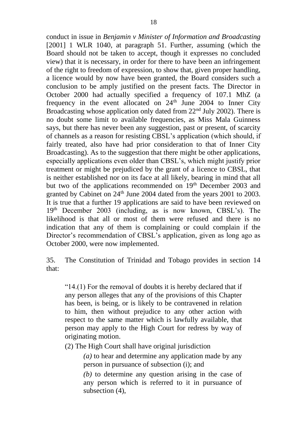conduct in issue in *Benjamin v Minister of Information and Broadcasting*  [2001] 1 WLR 1040, at paragraph 51. Further, assuming (which the Board should not be taken to accept, though it expresses no concluded view) that it is necessary, in order for there to have been an infringement of the right to freedom of expression, to show that, given proper handling, a licence would by now have been granted, the Board considers such a conclusion to be amply justified on the present facts. The Director in October 2000 had actually specified a frequency of 107.1 MhZ (a frequency in the event allocated on  $24<sup>th</sup>$  June 2004 to Inner City Broadcasting whose application only dated from 22<sup>nd</sup> July 2002). There is no doubt some limit to available frequencies, as Miss Mala Guinness says, but there has never been any suggestion, past or present, of scarcity of channels as a reason for resisting CBSL's application (which should, if fairly treated, also have had prior consideration to that of Inner City Broadcasting). As to the suggestion that there might be other applications, especially applications even older than CBSL's, which might justify prior treatment or might be prejudiced by the grant of a licence to CBSL, that is neither established nor on its face at all likely, bearing in mind that all but two of the applications recommended on 19<sup>th</sup> December 2003 and granted by Cabinet on  $24<sup>th</sup>$  June 2004 dated from the years 2001 to 2003. It is true that a further 19 applications are said to have been reviewed on 19th December 2003 (including, as is now known, CBSL's). The likelihood is that all or most of them were refused and there is no indication that any of them is complaining or could complain if the Director's recommendation of CBSL's application, given as long ago as October 2000, were now implemented.

35. The Constitution of Trinidad and Tobago provides in section 14 that:

"14.(1) For the removal of doubts it is hereby declared that if any person alleges that any of the provisions of this Chapter has been, is being, or is likely to be contravened in relation to him, then without prejudice to any other action with respect to the same matter which is lawfully available, that person may apply to the High Court for redress by way of originating motion.

(2) The High Court shall have original jurisdiction

*(a)* to hear and determine any application made by any person in pursuance of subsection (i); and

*(b)* to determine any question arising in the case of any person which is referred to it in pursuance of subsection (4),